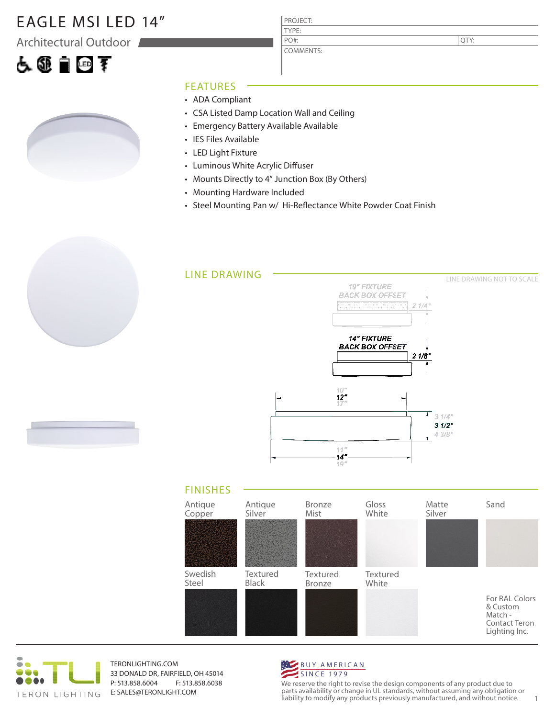### EAGLE MSI LED 14"

Architectural Outdoor

# 人工自由手



### FEATURES

- ADA Compliant
- CSA Listed Damp Location Wall and Ceiling

PROJECT: TYPE:

PO#:

COMMENTS:

- Emergency Battery Available Available
- IES Files Available
- LED Light Fixture
- Luminous White Acrylic Diffuser
- Mounts Directly to 4" Junction Box (By Others)
- Mounting Hardware Included
- Steel Mounting Pan w/ Hi-Reflectance White Powder Coat Finish







TERONLIGHTING.COM 33 DONALD DR, FAIRFIELD, OH 45014 P: 513.858.6004 F: 513.858.6038 E: SALES@TERONLIGHT.COM



We reserve the right to revise the design components of any product due to parts availability or change in UL standards, without assuming any obligation or liability to modify any products previously manufactured, and without notice. 1

QTY: